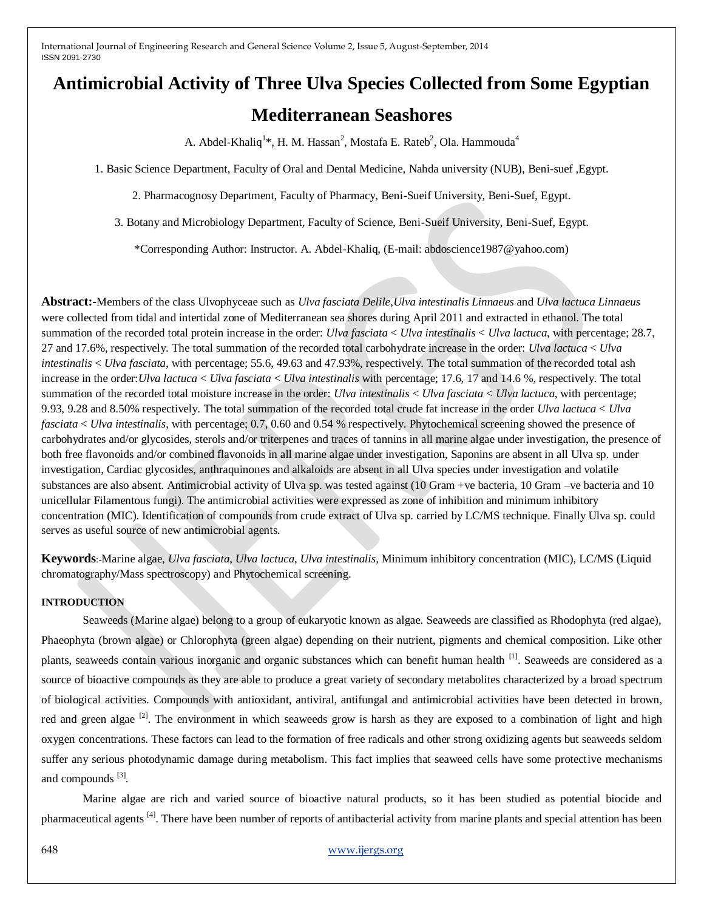# **Antimicrobial Activity of Three Ulva Species Collected from Some Egyptian Mediterranean Seashores**

A. Abdel-Khaliq $^{1*}$ , H. M. Hassan $^{2}$ , Mostafa E. Rateb $^{2}$ , Ola. Hammouda $^{4}$ 

1. Basic Science Department, Faculty of Oral and Dental Medicine, Nahda university (NUB), Beni-suef ,Egypt.

2. Pharmacognosy Department, Faculty of Pharmacy, Beni-Sueif University, Beni-Suef, Egypt.

3. Botany and Microbiology Department, Faculty of Science, Beni-Sueif University, Beni-Suef, Egypt.

\*Corresponding Author: Instructor. A. Abdel-Khaliq, (E-mail: abdoscience1987@yahoo.com)

**Abstract:-**Members of the class Ulvophyceae such as *Ulva fasciata Delile*,*Ulva intestinalis Linnaeus* and *Ulva lactuca Linnaeus* were collected from tidal and intertidal zone of Mediterranean sea shores during April 2011 and extracted in ethanol. The total summation of the recorded total protein increase in the order: *Ulva fasciata* < *Ulva intestinalis* < *Ulva lactuca*, with percentage; 28.7, 27 and 17.6%, respectively. The total summation of the recorded total carbohydrate increase in the order: *Ulva lactuca* < *Ulva intestinalis* < *Ulva fasciata*, with percentage; 55.6, 49.63 and 47.93%, respectively. The total summation of the recorded total ash increase in the order:*Ulva lactuca* < *Ulva fasciata* < *Ulva intestinalis* with percentage; 17.6, 17 and 14.6 %, respectively. The total summation of the recorded total moisture increase in the order: *Ulva intestinalis* < *Ulva fasciata* < *Ulva lactuca*, with percentage; 9.93, 9.28 and 8.50% respectively. The total summation of the recorded total crude fat increase in the order *Ulva lactuca* < *Ulva fasciata* < *Ulva intestinalis*, with percentage; 0.7, 0.60 and 0.54 % respectively. Phytochemical screening showed the presence of carbohydrates and/or glycosides, sterols and/or triterpenes and traces of tannins in all marine algae under investigation, the presence of both free flavonoids and/or combined flavonoids in all marine algae under investigation, Saponins are absent in all Ulva sp. under investigation, Cardiac glycosides, anthraquinones and alkaloids are absent in all Ulva species under investigation and volatile substances are also absent. Antimicrobial activity of Ulva sp. was tested against (10 Gram +ve bacteria, 10 Gram –ve bacteria and 10 unicellular Filamentous fungi). The antimicrobial activities were expressed as zone of inhibition and minimum inhibitory concentration (MIC). Identification of compounds from crude extract of Ulva sp. carried by LC/MS technique. Finally Ulva sp. could serves as useful source of new antimicrobial agents.

**Keywords**:-Marine algae, *Ulva fasciata*, *Ulva lactuca*, *Ulva intestinalis*, Minimum inhibitory concentration (MIC), LC/MS (Liquid chromatography/Mass spectroscopy) and Phytochemical screening.

### **INTRODUCTION**

Seaweeds (Marine algae) belong to a group of eukaryotic known as algae. Seaweeds are classified as Rhodophyta (red algae), Phaeophyta (brown algae) or Chlorophyta (green algae) depending on their nutrient, pigments and chemical composition. Like other plants, seaweeds contain various inorganic and organic substances which can benefit human health <sup>[1]</sup>. Seaweeds are considered as a source of bioactive compounds as they are able to produce a great variety of secondary metabolites characterized by a broad spectrum of biological activities. Compounds with antioxidant, antiviral, antifungal and antimicrobial activities have been detected in brown, red and green algae  $[2]$ . The environment in which seaweeds grow is harsh as they are exposed to a combination of light and high oxygen concentrations. These factors can lead to the formation of free radicals and other strong oxidizing agents but seaweeds seldom suffer any serious photodynamic damage during metabolism. This fact implies that seaweed cells have some protective mechanisms and compounds [3].

Marine algae are rich and varied source of bioactive natural products, so it has been studied as potential biocide and pharmaceutical agents <sup>[4]</sup>. There have been number of reports of antibacterial activity from marine plants and special attention has been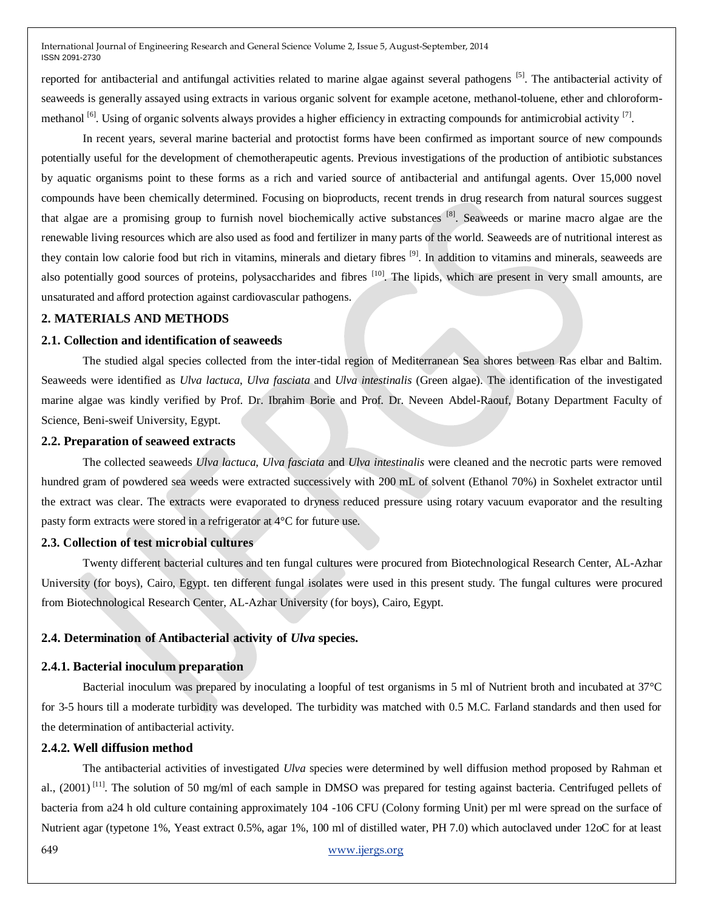reported for antibacterial and antifungal activities related to marine algae against several pathogens <sup>[5]</sup>. The antibacterial activity of seaweeds is generally assayed using extracts in various organic solvent for example acetone, methanol-toluene, ether and chloroformmethanol <sup>[6]</sup>. Using of organic solvents always provides a higher efficiency in extracting compounds for antimicrobial activity <sup>[7]</sup>.

In recent years, several marine bacterial and protoctist forms have been confirmed as important source of new compounds potentially useful for the development of chemotherapeutic agents. Previous investigations of the production of antibiotic substances by aquatic organisms point to these forms as a rich and varied source of antibacterial and antifungal agents. Over 15,000 novel compounds have been chemically determined. Focusing on bioproducts, recent trends in drug research from natural sources suggest that algae are a promising group to furnish novel biochemically active substances<sup>[8]</sup>. Seaweeds or marine macro algae are the renewable living resources which are also used as food and fertilizer in many parts of the world. Seaweeds are of nutritional interest as they contain low calorie food but rich in vitamins, minerals and dietary fibres <sup>[9]</sup>. In addition to vitamins and minerals, seaweeds are also potentially good sources of proteins, polysaccharides and fibres <sup>[10]</sup>. The lipids, which are present in very small amounts, are unsaturated and afford protection against cardiovascular pathogens.

#### **2. MATERIALS AND METHODS**

#### **2.1. Collection and identification of seaweeds**

The studied algal species collected from the inter-tidal region of Mediterranean Sea shores between Ras elbar and Baltim. Seaweeds were identified as *Ulva lactuca*, *Ulva fasciata* and *Ulva intestinalis* (Green algae). The identification of the investigated marine algae was kindly verified by Prof. Dr. Ibrahim Borie and Prof. Dr. Neveen Abdel-Raouf, Botany Department Faculty of Science, Beni-sweif University, Egypt.

### **2.2. Preparation of seaweed extracts**

The collected seaweeds *Ulva lactuca*, *Ulva fasciata* and *Ulva intestinalis* were cleaned and the necrotic parts were removed hundred gram of powdered sea weeds were extracted successively with 200 mL of solvent (Ethanol 70%) in Soxhelet extractor until the extract was clear. The extracts were evaporated to dryness reduced pressure using rotary vacuum evaporator and the resulting pasty form extracts were stored in a refrigerator at 4°C for future use.

#### **2.3. Collection of test microbial cultures**

Twenty different bacterial cultures and ten fungal cultures were procured from Biotechnological Research Center, AL-Azhar University (for boys), Cairo, Egypt. ten different fungal isolates were used in this present study. The fungal cultures were procured from Biotechnological Research Center, AL-Azhar University (for boys), Cairo, Egypt.

# **2.4. Determination of Antibacterial activity of** *Ulva* **species.**

#### **2.4.1. Bacterial inoculum preparation**

Bacterial inoculum was prepared by inoculating a loopful of test organisms in 5 ml of Nutrient broth and incubated at 37°C for 3-5 hours till a moderate turbidity was developed. The turbidity was matched with 0.5 M.C. Farland standards and then used for the determination of antibacterial activity.

# **2.4.2. Well diffusion method**

The antibacterial activities of investigated *Ulva* species were determined by well diffusion method proposed by Rahman et al., (2001)<sup>[11]</sup>. The solution of 50 mg/ml of each sample in DMSO was prepared for testing against bacteria. Centrifuged pellets of bacteria from a24 h old culture containing approximately 104 -106 CFU (Colony forming Unit) per ml were spread on the surface of Nutrient agar (typetone 1%, Yeast extract 0.5%, agar 1%, 100 ml of distilled water, PH 7.0) which autoclaved under 12oC for at least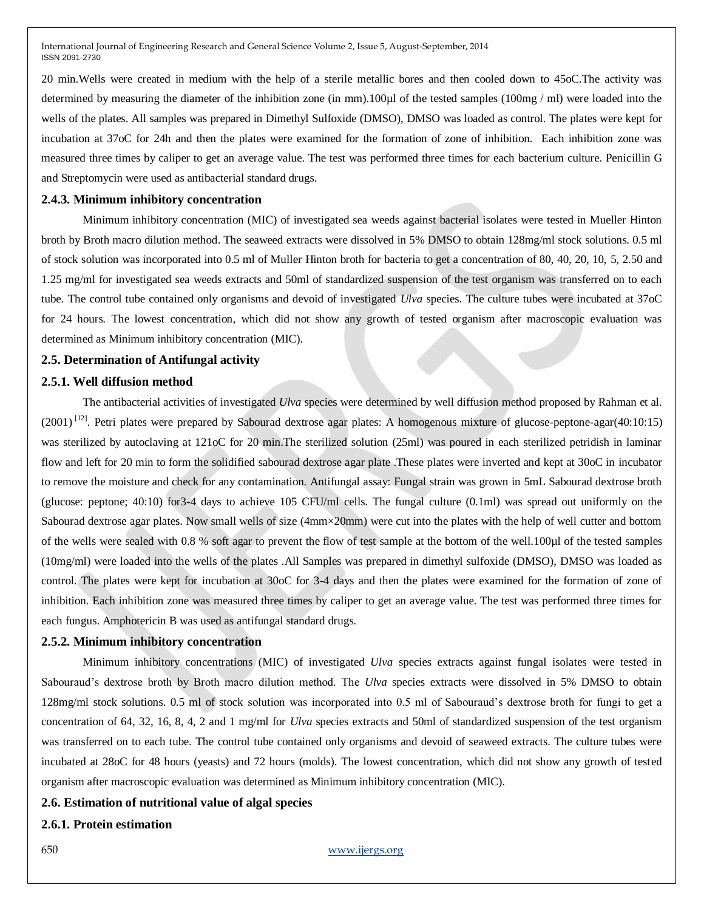20 min.Wells were created in medium with the help of a sterile metallic bores and then cooled down to 45oC.The activity was determined by measuring the diameter of the inhibition zone (in mm).100µl of the tested samples (100mg / ml) were loaded into the wells of the plates. All samples was prepared in Dimethyl Sulfoxide (DMSO), DMSO was loaded as control. The plates were kept for incubation at 37oC for 24h and then the plates were examined for the formation of zone of inhibition. Each inhibition zone was measured three times by caliper to get an average value. The test was performed three times for each bacterium culture. Penicillin G and Streptomycin were used as antibacterial standard drugs.

#### **2.4.3. Minimum inhibitory concentration**

Minimum inhibitory concentration (MIC) of investigated sea weeds against bacterial isolates were tested in Mueller Hinton broth by Broth macro dilution method. The seaweed extracts were dissolved in 5% DMSO to obtain 128mg/ml stock solutions. 0.5 ml of stock solution was incorporated into 0.5 ml of Muller Hinton broth for bacteria to get a concentration of 80, 40, 20, 10, 5, 2.50 and 1.25 mg/ml for investigated sea weeds extracts and 50ml of standardized suspension of the test organism was transferred on to each tube. The control tube contained only organisms and devoid of investigated *Ulva* species. The culture tubes were incubated at 37oC for 24 hours. The lowest concentration, which did not show any growth of tested organism after macroscopic evaluation was determined as Minimum inhibitory concentration (MIC).

### **2.5. Determination of Antifungal activity**

### **2.5.1. Well diffusion method**

The antibacterial activities of investigated *Ulva* species were determined by well diffusion method proposed by Rahman et al.  $(2001)$ <sup>[12]</sup>. Petri plates were prepared by Sabourad dextrose agar plates: A homogenous mixture of glucose-peptone-agar(40:10:15) was sterilized by autoclaving at 121oC for 20 min. The sterilized solution (25ml) was poured in each sterilized petridish in laminar flow and left for 20 min to form the solidified sabourad dextrose agar plate .These plates were inverted and kept at 30oC in incubator to remove the moisture and check for any contamination. Antifungal assay: Fungal strain was grown in 5mL Sabourad dextrose broth (glucose: peptone; 40:10) for3-4 days to achieve 105 CFU/ml cells. The fungal culture (0.1ml) was spread out uniformly on the Sabourad dextrose agar plates. Now small wells of size (4mm×20mm) were cut into the plates with the help of well cutter and bottom of the wells were sealed with 0.8 % soft agar to prevent the flow of test sample at the bottom of the well.100µl of the tested samples (10mg/ml) were loaded into the wells of the plates .All Samples was prepared in dimethyl sulfoxide (DMSO), DMSO was loaded as control. The plates were kept for incubation at 30oC for 3-4 days and then the plates were examined for the formation of zone of inhibition. Each inhibition zone was measured three times by caliper to get an average value. The test was performed three times for each fungus. Amphotericin B was used as antifungal standard drugs.

### **2.5.2. Minimum inhibitory concentration**

Minimum inhibitory concentrations (MIC) of investigated *Ulva* species extracts against fungal isolates were tested in Sabouraud's dextrose broth by Broth macro dilution method. The *Ulva* species extracts were dissolved in 5% DMSO to obtain 128mg/ml stock solutions. 0.5 ml of stock solution was incorporated into 0.5 ml of Sabouraud's dextrose broth for fungi to get a concentration of 64, 32, 16, 8, 4, 2 and 1 mg/ml for *Ulva* species extracts and 50ml of standardized suspension of the test organism was transferred on to each tube. The control tube contained only organisms and devoid of seaweed extracts. The culture tubes were incubated at 28oC for 48 hours (yeasts) and 72 hours (molds). The lowest concentration, which did not show any growth of tested organism after macroscopic evaluation was determined as Minimum inhibitory concentration (MIC).

# **2.6. Estimation of nutritional value of algal species**

#### **2.6.1. Protein estimation**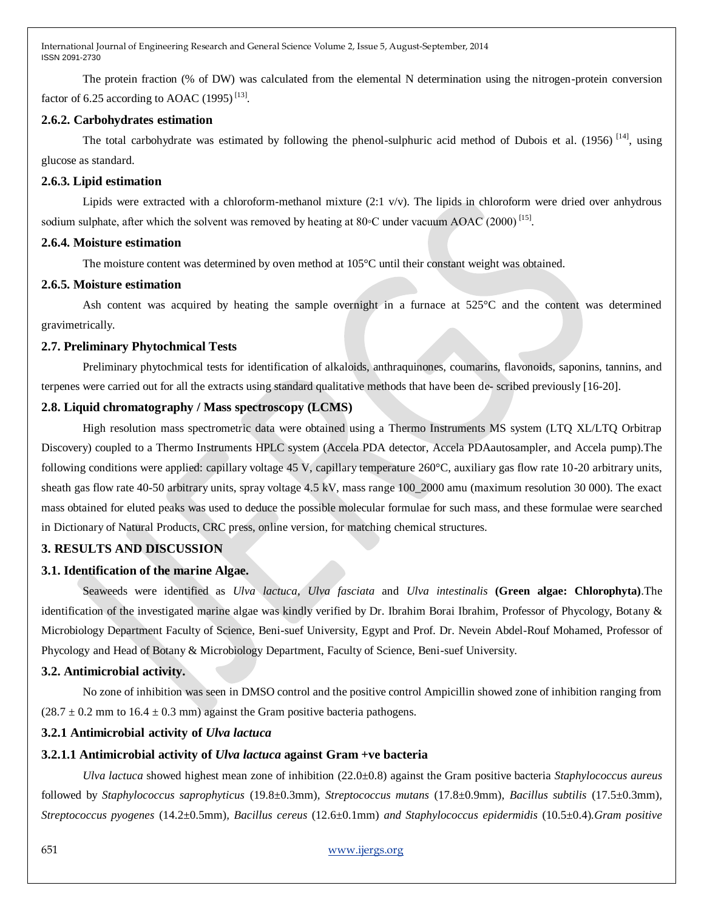The protein fraction (% of DW) was calculated from the elemental N determination using the nitrogen-protein conversion factor of 6.25 according to AOAC  $(1995)$ <sup>[13]</sup>.

# **2.6.2. Carbohydrates estimation**

The total carbohydrate was estimated by following the phenol-sulphuric acid method of Dubois et al.  $(1956)$  <sup>[14]</sup>, using glucose as standard.

# **2.6.3. Lipid estimation**

Lipids were extracted with a chloroform-methanol mixture  $(2.1 \text{ v/v})$ . The lipids in chloroform were dried over anhydrous sodium sulphate, after which the solvent was removed by heating at  $80°C$  under vacuum AOAC (2000)<sup>[15]</sup>.

### **2.6.4. Moisture estimation**

The moisture content was determined by oven method at 105°C until their constant weight was obtained.

# **2.6.5. Moisture estimation**

Ash content was acquired by heating the sample overnight in a furnace at 525°C and the content was determined gravimetrically.

# **2.7. Preliminary Phytochmical Tests**

Preliminary phytochmical tests for identification of alkaloids, anthraquinones, coumarins, flavonoids, saponins, tannins, and terpenes were carried out for all the extracts using standard qualitative methods that have been de- scribed previously [16-20].

# **2.8. Liquid chromatography / Mass spectroscopy (LCMS)**

High resolution mass spectrometric data were obtained using a Thermo Instruments MS system (LTQ XL/LTQ Orbitrap Discovery) coupled to a Thermo Instruments HPLC system (Accela PDA detector, Accela PDAautosampler, and Accela pump).The following conditions were applied: capillary voltage 45 V, capillary temperature 260°C, auxiliary gas flow rate 10-20 arbitrary units, sheath gas flow rate 40-50 arbitrary units, spray voltage 4.5 kV, mass range 100\_2000 amu (maximum resolution 30 000). The exact mass obtained for eluted peaks was used to deduce the possible molecular formulae for such mass, and these formulae were searched in Dictionary of Natural Products, CRC press, online version, for matching chemical structures.

# **3. RESULTS AND DISCUSSION**

# **3.1. Identification of the marine Algae.**

Seaweeds were identified as *Ulva lactuca*, *Ulva fasciata* and *Ulva intestinalis* **(Green algae: Chlorophyta)**.The identification of the investigated marine algae was kindly verified by Dr. Ibrahim Borai Ibrahim, Professor of Phycology, Botany & Microbiology Department Faculty of Science, Beni-suef University, Egypt and Prof. Dr. Nevein Abdel-Rouf Mohamed, Professor of Phycology and Head of Botany & Microbiology Department, Faculty of Science, Beni-suef University.

# **3.2. Antimicrobial activity.**

No zone of inhibition was seen in DMSO control and the positive control Ampicillin showed zone of inhibition ranging from  $(28.7 \pm 0.2 \text{ mm to } 16.4 \pm 0.3 \text{ mm})$  against the Gram positive bacteria pathogens.

# **3.2.1 Antimicrobial activity of** *Ulva lactuca*

# **3.2.1.1 Antimicrobial activity of** *Ulva lactuca* **against Gram +ve bacteria**

*Ulva lactuca* showed highest mean zone of inhibition (22.0±0.8) against the Gram positive bacteria *Staphylococcus aureus*  followed by *Staphylococcus saprophyticus* (19.8±0.3mm)*, Streptococcus mutans* (17.8±0.9mm)*, Bacillus subtilis* (17.5±0.3mm)*, Streptococcus pyogenes* (14.2±0.5mm)*, Bacillus cereus* (12.6±0.1mm) *and Staphylococcus epidermidis* (10.5±0.4)*.Gram positive*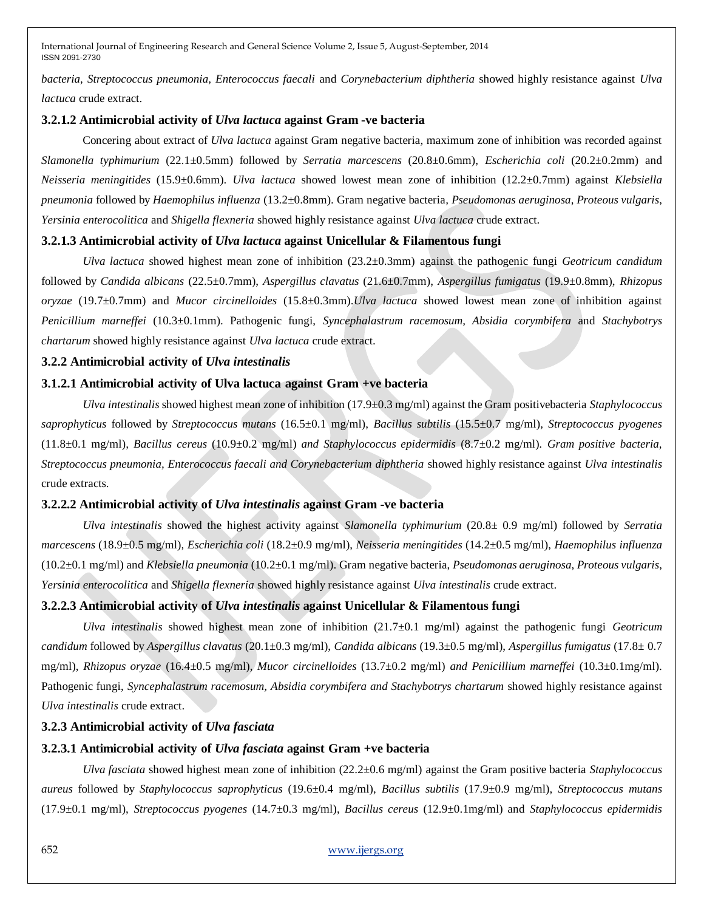*bacteria, Streptococcus pneumonia, Enterococcus faecali* and *Corynebacterium diphtheria* showed highly resistance against *Ulva lactuca* crude extract.

# **3.2.1.2 Antimicrobial activity of** *Ulva lactuca* **against Gram -ve bacteria**

Concering about extract of *Ulva lactuca* against Gram negative bacteria, maximum zone of inhibition was recorded against *Slamonella typhimurium* (22.1±0.5mm) followed by *Serratia marcescens* (20.8±0.6mm), *Escherichia coli* (20.2±0.2mm) and *Neisseria meningitides* (15.9±0.6mm). *Ulva lactuca* showed lowest mean zone of inhibition (12.2±0.7mm) against *Klebsiella pneumonia* followed by *Haemophilus influenza* (13.2±0.8mm). Gram negative bacteria*, Pseudomonas aeruginosa*, *Proteous vulgaris*, *Yersinia enterocolitica* and *Shigella flexneria* showed highly resistance against *Ulva lactuca* crude extract.

# **3.2.1.3 Antimicrobial activity of** *Ulva lactuca* **against Unicellular & Filamentous fungi**

*Ulva lactuca* showed highest mean zone of inhibition (23.2±0.3mm) against the pathogenic fungi *Geotricum candidum*  followed by *Candida albicans* (22.5±0.7mm), *Aspergillus clavatus* (21.6±0.7mm), *Aspergillus fumigatus* (19.9±0.8mm), *Rhizopus oryzae* (19.7±0.7mm) and *Mucor circinelloides* (15.8±0.3mm).*Ulva lactuca* showed lowest mean zone of inhibition against *Penicillium marneffei* (10.3±0.1mm). Pathogenic fungi, *Syncephalastrum racemosum, Absidia corymbifera* and *Stachybotrys chartarum* showed highly resistance against *Ulva lactuca* crude extract.

# **3.2.2 Antimicrobial activity of** *Ulva intestinalis*

# **3.1.2.1 Antimicrobial activity of Ulva lactuca against Gram +ve bacteria**

*Ulva intestinalis* showed highest mean zone of inhibition (17.9±0.3 mg/ml) against the Gram positivebacteria *Staphylococcus saprophyticus* followed by *Streptococcus mutans* (16.5±0.1 mg/ml), *Bacillus subtilis* (15.5±0.7 mg/ml)*, Streptococcus pyogenes*  (11.8±0.1 mg/ml)*, Bacillus cereus* (10.9±0.2 mg/ml) *and Staphylococcus epidermidis* (8.7±0.2 mg/ml)*. Gram positive bacteria, Streptococcus pneumonia, Enterococcus faecali and Corynebacterium diphtheria* showed highly resistance against *Ulva intestinalis*  crude extracts.

### **3.2.2.2 Antimicrobial activity of** *Ulva intestinalis* **against Gram -ve bacteria**

*Ulva intestinalis* showed the highest activity against *Slamonella typhimurium* (20.8± 0.9 mg/ml) followed by *Serratia marcescens* (18.9±0.5 mg/ml), *Escherichia coli* (18.2±0.9 mg/ml), *Neisseria meningitides* (14.2±0.5 mg/ml), *Haemophilus influenza* (10.2±0.1 mg/ml) and *Klebsiella pneumonia* (10.2±0.1 mg/ml). Gram negative bacteria, *Pseudomonas aeruginosa*, *Proteous vulgaris*, *Yersinia enterocolitica* and *Shigella flexneria* showed highly resistance against *Ulva intestinalis* crude extract.

# **3.2.2.3 Antimicrobial activity of** *Ulva intestinalis* **against Unicellular & Filamentous fungi**

*Ulva intestinalis* showed highest mean zone of inhibition (21.7±0.1 mg/ml) against the pathogenic fungi *Geotricum candidum* followed by *Aspergillus clavatus* (20.1±0.3 mg/ml), *Candida albicans* (19.3±0.5 mg/ml), *Aspergillus fumigatus* (17.8± 0.7 mg/ml), *Rhizopus oryzae* (16.4±0.5 mg/ml), *Mucor circinelloides* (13.7±0.2 mg/ml) *and Penicillium marneffei* (10.3±0.1mg/ml). Pathogenic fungi, *Syncephalastrum racemosum, Absidia corymbifera and Stachybotrys chartarum* showed highly resistance against *Ulva intestinalis* crude extract.

# **3.2.3 Antimicrobial activity of** *Ulva fasciata*

# **3.2.3.1 Antimicrobial activity of** *Ulva fasciata* **against Gram +ve bacteria**

*Ulva fasciata* showed highest mean zone of inhibition (22.2±0.6 mg/ml) against the Gram positive bacteria *Staphylococcus aureus* followed by *Staphylococcus saprophyticus* (19.6±0.4 mg/ml), *Bacillus subtilis* (17.9±0.9 mg/ml), *Streptococcus mutans* (17.9±0.1 mg/ml), *Streptococcus pyogenes* (14.7±0.3 mg/ml), *Bacillus cereus* (12.9±0.1mg/ml) and *Staphylococcus epidermidis*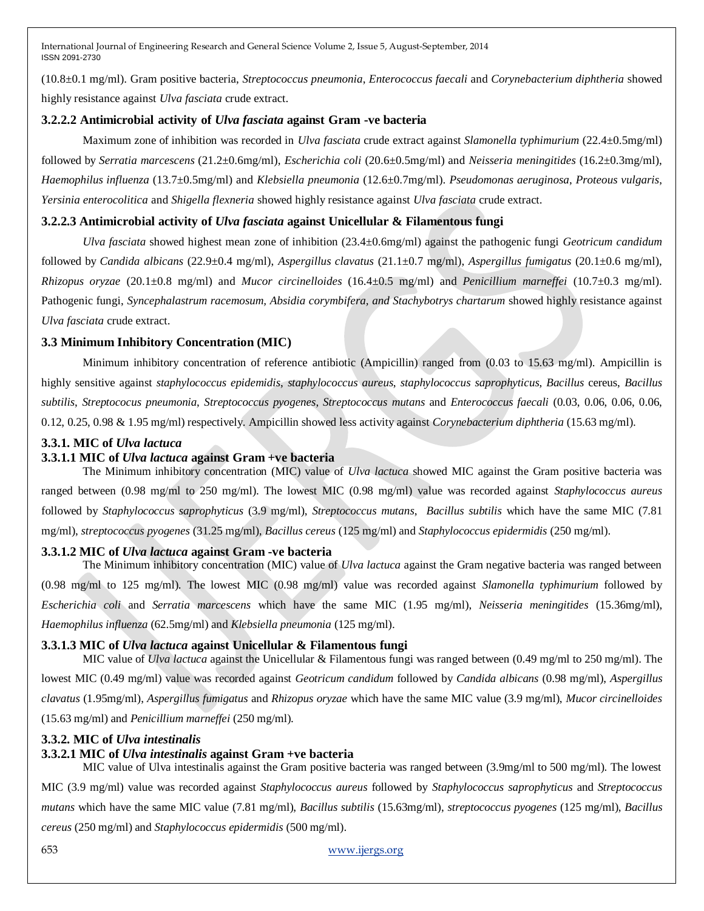(10.8±0.1 mg/ml). Gram positive bacteria, *Streptococcus pneumonia*, *Enterococcus faecali* and *Corynebacterium diphtheria* showed highly resistance against *Ulva fasciata* crude extract.

# **3.2.2.2 Antimicrobial activity of** *Ulva fasciata* **against Gram -ve bacteria**

Maximum zone of inhibition was recorded in *Ulva fasciata* crude extract against *Slamonella typhimurium* (22.4±0.5mg/ml) followed by *Serratia marcescens* (21.2±0.6mg/ml), *Escherichia coli* (20.6±0.5mg/ml) and *Neisseria meningitides* (16.2±0.3mg/ml), *Haemophilus influenza* (13.7±0.5mg/ml) and *Klebsiella pneumonia* (12.6±0.7mg/ml). *Pseudomonas aeruginosa*, *Proteous vulgaris*, *Yersinia enterocolitica* and *Shigella flexneria* showed highly resistance against *Ulva fasciata* crude extract.

# **3.2.2.3 Antimicrobial activity of** *Ulva fasciata* **against Unicellular & Filamentous fungi**

*Ulva fasciata* showed highest mean zone of inhibition (23.4±0.6mg/ml) against the pathogenic fungi *Geotricum candidum*  followed by *Candida albicans* (22.9±0.4 mg/ml), *Aspergillus clavatus* (21.1±0.7 mg/ml), *Aspergillus fumigatus* (20.1±0.6 mg/ml), *Rhizopus oryzae* (20.1±0.8 mg/ml) and *Mucor circinelloides* (16.4±0.5 mg/ml) and *Penicillium marneffei* (10.7±0.3 mg/ml). Pathogenic fungi, *Syncephalastrum racemosum, Absidia corymbifera, and Stachybotrys chartarum* showed highly resistance against *Ulva fasciata* crude extract.

# **3.3 Minimum Inhibitory Concentration (MIC)**

Minimum inhibitory concentration of reference antibiotic (Ampicillin) ranged from (0.03 to 15.63 mg/ml). Ampicillin is highly sensitive against *staphylococcus epidemidis*, *staphylococcus aureus*, *staphylococcus saprophyticus*, *Bacillus* cereus, *Bacillus subtilis*, *Streptococus pneumonia*, *Streptococcus pyogenes*, *Streptococcus mutans* and *Enterococcus faecali* (0.03, 0.06, 0.06, 0.06, 0.12, 0.25, 0.98 & 1.95 mg/ml) respectively. Ampicillin showed less activity against *Corynebacterium diphtheria* (15.63 mg/ml).

# **3.3.1. MIC of** *Ulva lactuca*

# **3.3.1.1 MIC of** *Ulva lactuca* **against Gram +ve bacteria**

The Minimum inhibitory concentration (MIC) value of *Ulva lactuca* showed MIC against the Gram positive bacteria was ranged between (0.98 mg/ml to 250 mg/ml). The lowest MIC (0.98 mg/ml) value was recorded against *Staphylococcus aureus* followed by *Staphylococcus saprophyticus* (3.9 mg/ml), *Streptococcus mutans*, *Bacillus subtilis* which have the same MIC (7.81 mg/ml), *streptococcus pyogenes* (31.25 mg/ml), *Bacillus cereus* (125 mg/ml) and *Staphylococcus epidermidis* (250 mg/ml).

# **3.3.1.2 MIC of** *Ulva lactuca* **against Gram -ve bacteria**

The Minimum inhibitory concentration (MIC) value of *Ulva lactuca* against the Gram negative bacteria was ranged between (0.98 mg/ml to 125 mg/ml). The lowest MIC (0.98 mg/ml) value was recorded against *Slamonella typhimurium* followed by *Escherichia coli* and *Serratia marcescens* which have the same MIC (1.95 mg/ml), *Neisseria meningitides* (15.36mg/ml), *Haemophilus influenza* (62.5mg/ml) and *Klebsiella pneumonia* (125 mg/ml).

# **3.3.1.3 MIC of** *Ulva lactuca* **against Unicellular & Filamentous fungi**

MIC value of *Ulva lactuca* against the Unicellular & Filamentous fungi was ranged between (0.49 mg/ml to 250 mg/ml). The lowest MIC (0.49 mg/ml) value was recorded against *Geotricum candidum* followed by *Candida albicans* (0.98 mg/ml), *Aspergillus clavatus* (1.95mg/ml), *Aspergillus fumigatus* and *Rhizopus oryzae* which have the same MIC value (3.9 mg/ml), *Mucor circinelloides* (15.63 mg/ml) and *Penicillium marneffei* (250 mg/ml).

# **3.3.2. MIC of** *Ulva intestinalis*

# **3.3.2.1 MIC of** *Ulva intestinalis* **against Gram +ve bacteria**

MIC value of Ulva intestinalis against the Gram positive bacteria was ranged between (3.9mg/ml to 500 mg/ml). The lowest MIC (3.9 mg/ml) value was recorded against *Staphylococcus aureus* followed by *Staphylococcus saprophyticus* and *Streptococcus mutans* which have the same MIC value (7.81 mg/ml), *Bacillus subtilis* (15.63mg/ml), *streptococcus pyogenes* (125 mg/ml), *Bacillus cereus* (250 mg/ml) and *Staphylococcus epidermidis* (500 mg/ml).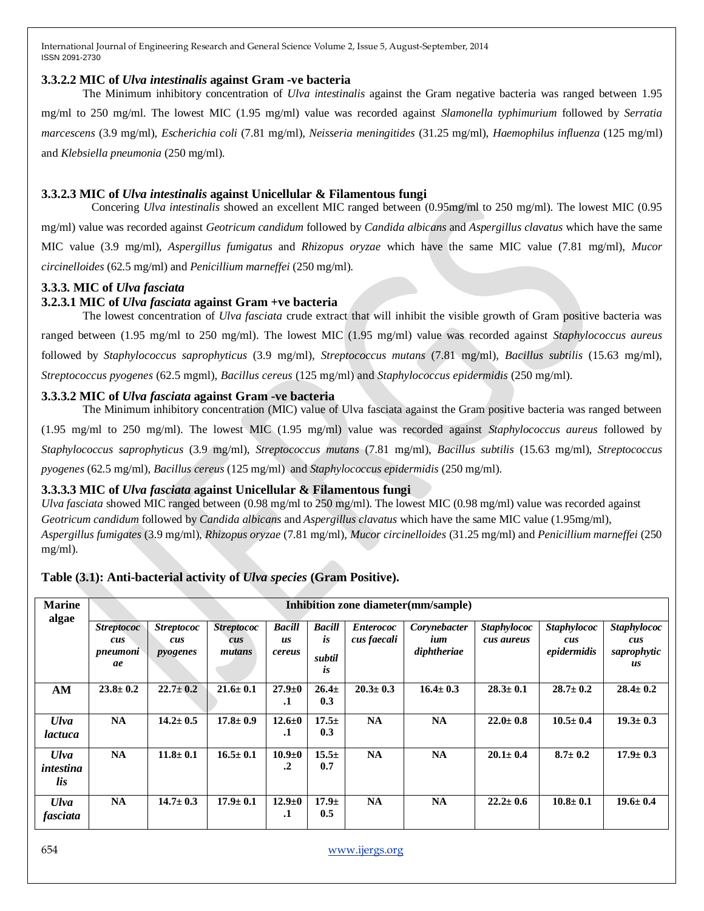### **3.3.2.2 MIC of** *Ulva intestinalis* **against Gram -ve bacteria**

The Minimum inhibitory concentration of *Ulva intestinalis* against the Gram negative bacteria was ranged between 1.95 mg/ml to 250 mg/ml. The lowest MIC (1.95 mg/ml) value was recorded against *Slamonella typhimurium* followed by *Serratia marcescens* (3.9 mg/ml), *Escherichia coli* (7.81 mg/ml), *Neisseria meningitides* (31.25 mg/ml), *Haemophilus influenza* (125 mg/ml) and *Klebsiella pneumonia* (250 mg/ml).

# **3.3.2.3 MIC of** *Ulva intestinalis* **against Unicellular & Filamentous fungi**

Concering *Ulva intestinalis* showed an excellent MIC ranged between (0.95mg/ml to 250 mg/ml). The lowest MIC (0.95 mg/ml) value was recorded against *Geotricum candidum* followed by *Candida albicans* and *Aspergillus clavatus* which have the same MIC value (3.9 mg/ml), *Aspergillus fumigatus* and *Rhizopus oryzae* which have the same MIC value (7.81 mg/ml), *Mucor circinelloides* (62.5 mg/ml) and *Penicillium marneffei* (250 mg/ml).

# **3.3.3. MIC of** *Ulva fasciata*

# **3.2.3.1 MIC of** *Ulva fasciata* **against Gram +ve bacteria**

The lowest concentration of *Ulva fasciata* crude extract that will inhibit the visible growth of Gram positive bacteria was ranged between (1.95 mg/ml to 250 mg/ml). The lowest MIC (1.95 mg/ml) value was recorded against *Staphylococcus aureus* followed by *Staphylococcus saprophyticus* (3.9 mg/ml), *Streptococcus mutans* (7.81 mg/ml), *Bacillus subtilis* (15.63 mg/ml), *Streptococcus pyogenes* (62.5 mgml), *Bacillus cereus* (125 mg/ml) and *Staphylococcus epidermidis* (250 mg/ml).

# **3.3.3.2 MIC of** *Ulva fasciata* **against Gram -ve bacteria**

The Minimum inhibitory concentration (MIC) value of Ulva fasciata against the Gram positive bacteria was ranged between (1.95 mg/ml to 250 mg/ml). The lowest MIC (1.95 mg/ml) value was recorded against *Staphylococcus aureus* followed by *Staphylococcus saprophyticus* (3.9 mg/ml), *Streptococcus mutans* (7.81 mg/ml), *Bacillus subtilis* (15.63 mg/ml), *Streptococcus pyogenes* (62.5 mg/ml), *Bacillus cereus* (125 mg/ml) and *Staphylococcus epidermidis* (250 mg/ml).

# **3.3.3.3 MIC of** *Ulva fasciata* **against Unicellular & Filamentous fungi**

*Ulva fasciata* showed MIC ranged between (0.98 mg/ml to 250 mg/ml). The lowest MIC (0.98 mg/ml) value was recorded against *Geotricum candidum* followed by *Candida albicans* and *Aspergillus clavatus* which have the same MIC value (1.95mg/ml), *Aspergillus fumigates* (3.9 mg/ml), *Rhizopus oryzae* (7.81 mg/ml), *Mucor circinelloides* (31.25 mg/ml) and *Penicillium marneffei* (250 mg/ml).

# **Table (3.1): Anti-bacterial activity of** *Ulva species* **(Gram Positive).**

| <b>Marine</b><br>algae          |                                            | Inhibition zone diameter (mm/sample) |                                    |                                      |                                     |                                 |                                    |                                  |                                          |                                                |  |  |  |  |
|---------------------------------|--------------------------------------------|--------------------------------------|------------------------------------|--------------------------------------|-------------------------------------|---------------------------------|------------------------------------|----------------------------------|------------------------------------------|------------------------------------------------|--|--|--|--|
|                                 | <b>Streptococ</b><br>cus<br>pneumoni<br>ae | <b>Streptococ</b><br>cus<br>pyogenes | <b>Streptococ</b><br>cus<br>mutans | <b>Bacill</b><br>us<br>cereus        | <b>Bacill</b><br>is<br>subtil<br>is | <b>Enterococ</b><br>cus faecali | Corynebacter<br>ium<br>diphtheriae | <b>Staphylococ</b><br>cus aureus | <b>Staphylococ</b><br>cus<br>epidermidis | <b>Staphylococ</b><br>cus<br>saprophytic<br>us |  |  |  |  |
| AM                              | $23.8 \pm 0.2$                             | $22.7 \pm 0.2$                       | $21.6 \pm 0.1$                     | $27.9 \pm 0$<br>$\cdot$              | 26.4 <sub>±</sub><br>0.3            | $20.3 \pm 0.3$                  | $16.4 \pm 0.3$                     | $28.3 \pm 0.1$                   | $28.7 \pm 0.2$                           | $28.4 \pm 0.2$                                 |  |  |  |  |
| <b>Ulva</b><br>lactuca          | <b>NA</b>                                  | $14.2 \pm 0.5$                       | $17.8 \pm 0.9$                     | $12.6 \pm 0$<br>$\cdot$              | $17.5 \pm$<br>0.3                   | <b>NA</b>                       | <b>NA</b>                          | $22.0 \pm 0.8$                   | $10.5 \pm 0.4$                           | $19.3 \pm 0.3$                                 |  |  |  |  |
| <b>Ulva</b><br>intestina<br>lis | <b>NA</b>                                  | $11.8 \pm 0.1$                       | $16.5 \pm 0.1$                     | $10.9 \pm 0$<br>$\cdot$ <sup>2</sup> | $15.5+$<br>0.7                      | <b>NA</b>                       | <b>NA</b>                          | $20.1 \pm 0.4$                   | $8.7 \pm 0.2$                            | $17.9 \pm 0.3$                                 |  |  |  |  |
| <b>Ulva</b><br>fasciata         | <b>NA</b>                                  | $14.7 \pm 0.3$                       | $17.9 \pm 0.1$                     | $12.9 \pm 0$<br>$\cdot$              | 17.9 <sub>±</sub><br>0.5            | <b>NA</b>                       | <b>NA</b>                          | $22.2 \pm 0.6$                   | $10.8 \pm 0.1$                           | $19.6 \pm 0.4$                                 |  |  |  |  |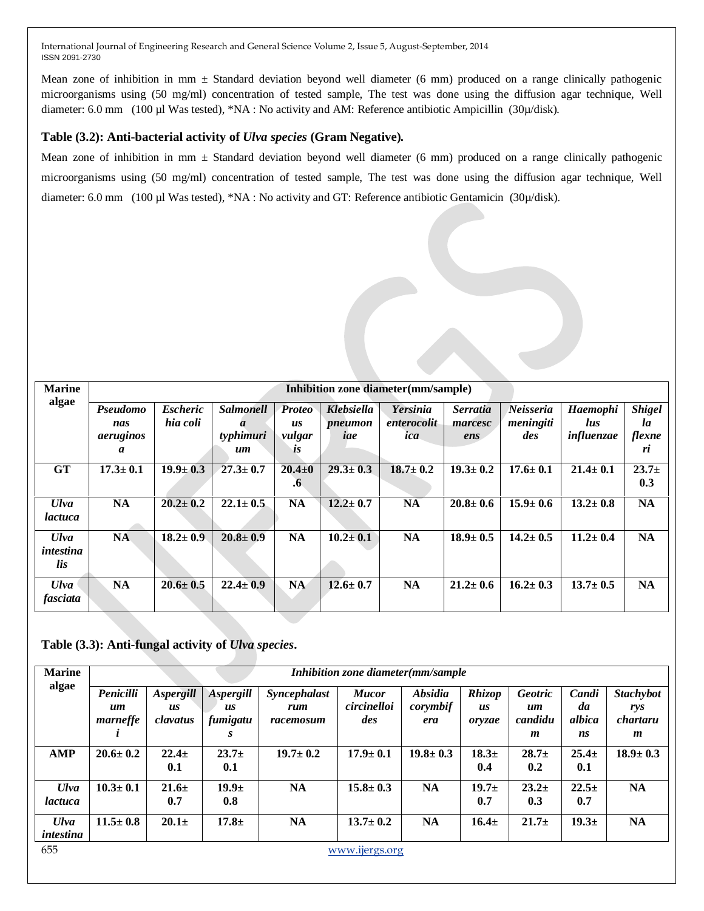Mean zone of inhibition in mm  $\pm$  Standard deviation beyond well diameter (6 mm) produced on a range clinically pathogenic microorganisms using (50 mg/ml) concentration of tested sample, The test was done using the diffusion agar technique, Well diameter: 6.0 mm (100 µl Was tested), \*NA : No activity and AM: Reference antibiotic Ampicillin (30µ/disk).

# **Table (3.2): Anti-bacterial activity of** *Ulva species* **(Gram Negative)***.*

Mean zone of inhibition in mm  $\pm$  Standard deviation beyond well diameter (6 mm) produced on a range clinically pathogenic microorganisms using (50 mg/ml) concentration of tested sample, The test was done using the diffusion agar technique, Well diameter: 6.0 mm (100 µl Was tested), \*NA : No activity and GT: Reference antibiotic Gentamicin (30µ/disk).

| <b>Marine</b>                   |                                   |                             |                                                         |                                            |                              | Inhibition zone diameter (mm/sample) |                                   |                               |                                             |                                     |
|---------------------------------|-----------------------------------|-----------------------------|---------------------------------------------------------|--------------------------------------------|------------------------------|--------------------------------------|-----------------------------------|-------------------------------|---------------------------------------------|-------------------------------------|
| algae                           | Pseudomo<br>nas<br>aeruginos<br>a | <b>Escheric</b><br>hia coli | <b>Salmonell</b><br>$\boldsymbol{a}$<br>typhimuri<br>um | <b>Proteo</b><br><b>us</b><br>vulgar<br>LS | Klebsiella<br>pneumon<br>iae | Yersinia<br>enterocolit<br>ica       | <b>Serratia</b><br>marcesc<br>ens | Neisseria<br>meningiti<br>des | <b>Haemophi</b><br><i>lus</i><br>influenzae | <b>Shigel</b><br>la<br>flexne<br>ri |
| <b>GT</b>                       | $17.3 \pm 0.1$                    | $19.9 \pm 0.3$              | $27.3 \pm 0.7$                                          | $20.4 \pm 0$<br>$\cdot$                    | $29.3 \pm 0.3$               | $18.7 \pm 0.2$                       | $19.3 \pm 0.2$                    | $17.6 \pm 0.1$                | $21.4 \pm 0.1$                              | 23.7 <sub>±</sub><br>0.3            |
| <b>Ulva</b><br>lactuca          | <b>NA</b>                         | $20.2 \pm 0.2$              | $22.1 \pm 0.5$                                          | <b>NA</b>                                  | $12.2 \pm 0.7$               | <b>NA</b>                            | $20.8 \pm 0.6$                    | $15.9 \pm 0.6$                | $13.2 \pm 0.8$                              | <b>NA</b>                           |
| <b>Ulva</b><br>intestina<br>lis | <b>NA</b>                         | $18.2 \pm 0.9$              | $20.8 \pm 0.9$                                          | <b>NA</b>                                  | $10.2 \pm 0.1$               | <b>NA</b>                            | $18.9 \pm 0.5$                    | $14.2 \pm 0.5$                | $11.2 \pm 0.4$                              | <b>NA</b>                           |
| <b>Ulva</b><br>fasciata         | <b>NA</b>                         | $20.6 \pm 0.5$              | $22.4 \pm 0.9$                                          | <b>NA</b>                                  | $12.6 \pm 0.7$               | <b>NA</b>                            | $21.2 \pm 0.6$                    | $16.2 \pm 0.3$                | $13.7 \pm 0.5$                              | <b>NA</b>                           |

**Table (3.3): Anti-fungal activity of** *Ulva species***.**

| <b>Marine</b><br>algae   |                             |                                           |                             |                                  | Inhibition zone diameter(mm/sample |                                          |                               |                                                         |                             |                                          |
|--------------------------|-----------------------------|-------------------------------------------|-----------------------------|----------------------------------|------------------------------------|------------------------------------------|-------------------------------|---------------------------------------------------------|-----------------------------|------------------------------------------|
|                          | Penicilli<br>um<br>marneffe | Aspergill<br>$\overline{u}$ s<br>clavatus | Aspergill<br>us<br>fumigatu | Syncephalast<br>rum<br>racemosum | <b>Mucor</b><br>circinelloi<br>des | <i><b>Absidia</b></i><br>corymbif<br>era | <b>Rhizop</b><br>us<br>oryzae | <b>Geotric</b><br>$\mathbf{u}$ <i>m</i><br>candidu<br>m | Candi<br>da<br>albica<br>ns | <b>Stachybot</b><br>rys<br>chartaru<br>m |
| AMP                      | $20.6 \pm 0.2$              | $22.4 +$<br>0.1                           | $23.7+$<br>0.1              | $19.7 \pm 0.2$                   | $17.9 \pm 0.1$                     | $19.8 \pm 0.3$                           | 18.3 <sub>±</sub><br>0.4      | $28.7+$<br>0.2                                          | $25.4 \pm$<br>0.1           | $18.9 \pm 0.3$                           |
| $U$ lva<br>lactuca       | $10.3 \pm 0.1$              | $21.6 \pm$<br>0.7                         | 19.9 <sub>±</sub><br>0.8    | <b>NA</b>                        | $15.8 \pm 0.3$                     | <b>NA</b>                                | 19.7 <sub>±</sub><br>0.7      | $23.2+$<br>0.3                                          | $22.5+$<br>0.7              | <b>NA</b>                                |
| <b>Ulva</b><br>intestina | $11.5 \pm 0.8$              | $20.1 \pm$                                | $17.8 +$                    | <b>NA</b>                        | $13.7 \pm 0.2$                     | <b>NA</b>                                | $16.4 \pm$                    | 21.7 <sub>±</sub>                                       | 19.3 <sub>±</sub>           | <b>NA</b>                                |
| 655                      |                             |                                           |                             |                                  | www.ijergs.org                     |                                          |                               |                                                         |                             |                                          |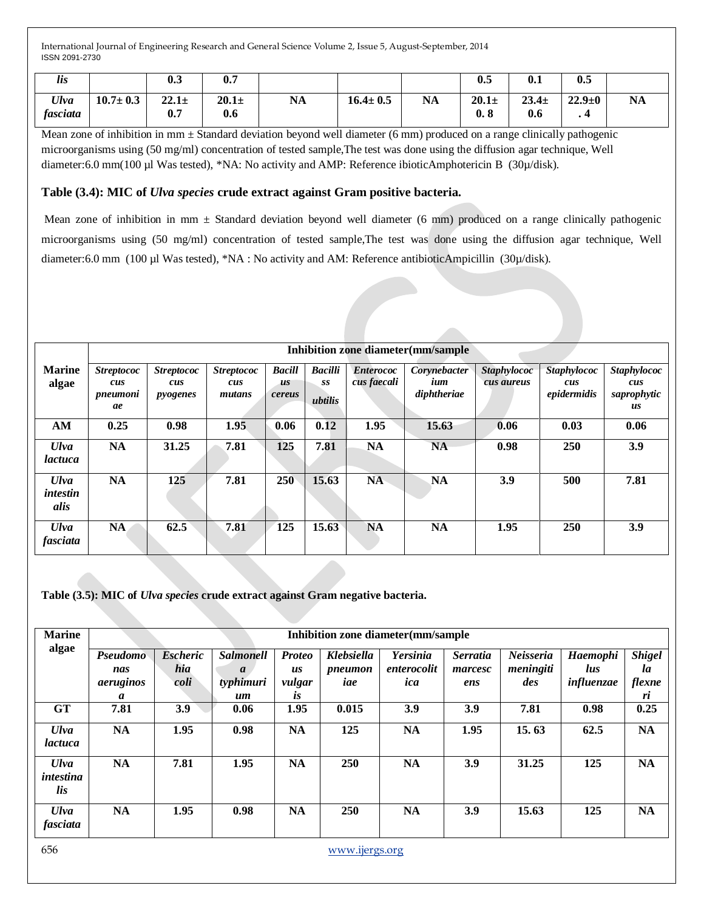| $\cdots$<br>lis  |                | 0.              | 0.7             |           |                |           | Λ5<br>v.ə                    | Λ<br>v.ı        | 0.5          |           |
|------------------|----------------|-----------------|-----------------|-----------|----------------|-----------|------------------------------|-----------------|--------------|-----------|
| Ulva<br>fasciata | $10.7 \pm 0.3$ | $22.1 +$<br>0.7 | $20.1 +$<br>0.6 | <b>NA</b> | $16.4 \pm 0.5$ | <b>NA</b> | $20.1 +$<br>0.8<br>$\bullet$ | $23.4 +$<br>0.6 | $22.9 \pm 0$ | <b>NA</b> |

Mean zone of inhibition in  $mm \pm$  Standard deviation beyond well diameter (6 mm) produced on a range clinically pathogenic microorganisms using (50 mg/ml) concentration of tested sample,The test was done using the diffusion agar technique, Well diameter:6.0 mm(100 µl Was tested), \*NA: No activity and AMP: Reference ibioticAmphotericin B (30µ/disk).

# **Table (3.4): MIC of** *Ulva species* **crude extract against Gram positive bacteria.**

Mean zone of inhibition in mm  $\pm$  Standard deviation beyond well diameter (6 mm) produced on a range clinically pathogenic microorganisms using (50 mg/ml) concentration of tested sample,The test was done using the diffusion agar technique, Well diameter:6.0 mm (100 µl Was tested), \*NA : No activity and AM: Reference antibioticAmpicillin (30µ/disk).

|                                 |                                            |                                      |                                    |                               |                                 |                                 | Inhibition zone diameter (mm/sample |                                  |                                          |                                                |
|---------------------------------|--------------------------------------------|--------------------------------------|------------------------------------|-------------------------------|---------------------------------|---------------------------------|-------------------------------------|----------------------------------|------------------------------------------|------------------------------------------------|
| <b>Marine</b><br>algae          | <b>Streptococ</b><br>cus<br>pneumoni<br>ae | <i>Streptococ</i><br>cus<br>pyogenes | <b>Streptococ</b><br>cus<br>mutans | <b>Bacill</b><br>us<br>cereus | <b>Bacilli</b><br>SS<br>ubtilis | <b>Enterococ</b><br>cus faecali | Corynebacter<br>ium<br>diphtheriae  | <b>Staphylococ</b><br>cus aureus | <b>Staphylococ</b><br>cus<br>epidermidis | <b>Staphylococ</b><br>cus<br>saprophytic<br>us |
| AM                              | 0.25                                       | 0.98                                 | 1.95                               | 0.06                          | 0.12                            | 1.95                            | 15.63                               | 0.06                             | 0.03                                     | 0.06                                           |
| <b>Ulva</b><br><i>lactuca</i>   | <b>NA</b>                                  | 31.25                                | 7.81                               | 125                           | 7.81                            | <b>NA</b>                       | <b>NA</b>                           | 0.98                             | 250                                      | 3.9                                            |
| <b>Ulva</b><br>intestin<br>alis | <b>NA</b>                                  | 125                                  | 7.81                               | 250                           | 15.63                           | <b>NA</b>                       | <b>NA</b>                           | 3.9                              | 500                                      | 7.81                                           |
| <b>Ulva</b><br>fasciata         | <b>NA</b>                                  | 62.5                                 | 7.81                               | 125                           | 15.63                           | <b>NA</b>                       | <b>NA</b>                           | 1.95                             | 250                                      | 3.9                                            |

**Table (3.5): MIC of** *Ulva species* **crude extract against Gram negative bacteria.**

| <b>Marine</b><br>algae          |                                   | Inhibition zone diameter (mm/sample |                                                         |                                            |                              |                                       |                                   |                               |                               |                                     |  |  |  |
|---------------------------------|-----------------------------------|-------------------------------------|---------------------------------------------------------|--------------------------------------------|------------------------------|---------------------------------------|-----------------------------------|-------------------------------|-------------------------------|-------------------------------------|--|--|--|
|                                 | Pseudomo<br>nas<br>aeruginos<br>a | <b>Escheric</b><br>hia<br>coli      | <b>Salmonell</b><br>$\boldsymbol{a}$<br>typhimuri<br>um | <b>Proteo</b><br>us<br>vulgar<br><i>is</i> | Klebsiella<br>pneumon<br>iae | <b>Yersinia</b><br>enterocolit<br>ica | <b>Serratia</b><br>marcesc<br>ens | Neisseria<br>meningiti<br>des | Haemophi<br>lus<br>influenzae | <b>Shigel</b><br>la<br>flexne<br>ri |  |  |  |
| <b>GT</b>                       | 7.81                              | 3.9                                 | 0.06                                                    | 1.95                                       | 0.015                        | 3.9                                   | 3.9                               | 7.81                          | 0.98                          | 0.25                                |  |  |  |
| <b>Ulva</b><br><i>lactuca</i>   | <b>NA</b>                         | 1.95                                | 0.98                                                    | NA                                         | 125                          | <b>NA</b>                             | 1.95                              | 15.63                         | 62.5                          | <b>NA</b>                           |  |  |  |
| <b>Ulva</b><br>intestina<br>lis | <b>NA</b>                         | 7.81                                | 1.95                                                    | <b>NA</b>                                  | 250                          | <b>NA</b>                             | 3.9                               | 31.25                         | 125                           | <b>NA</b>                           |  |  |  |
| <b>Ulva</b><br>fasciata         | <b>NA</b>                         | 1.95                                | 0.98                                                    | <b>NA</b>                                  | 250                          | <b>NA</b>                             | 3.9                               | 15.63                         | 125                           | <b>NA</b>                           |  |  |  |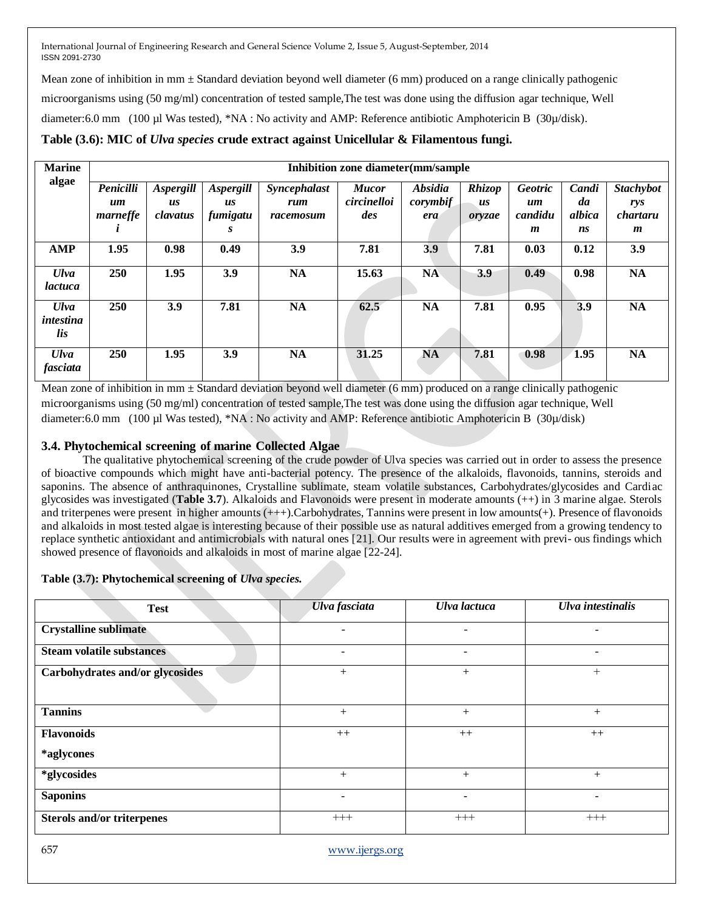Mean zone of inhibition in mm  $\pm$  Standard deviation beyond well diameter (6 mm) produced on a range clinically pathogenic microorganisms using (50 mg/ml) concentration of tested sample,The test was done using the diffusion agar technique, Well diameter:6.0 mm (100 µl Was tested), \*NA : No activity and AMP: Reference antibiotic Amphotericin B (30µ/disk).

# **Table (3.6): MIC of** *Ulva species* **crude extract against Unicellular & Filamentous fungi.**

| <b>Marine</b>                   |                             |                             |                             |                                  | Inhibition zone diameter(mm/sample |                                   |                               |                                 |                       |                                     |
|---------------------------------|-----------------------------|-----------------------------|-----------------------------|----------------------------------|------------------------------------|-----------------------------------|-------------------------------|---------------------------------|-----------------------|-------------------------------------|
| algae                           | Penicilli<br>um<br>marneffe | Aspergill<br>us<br>clavatus | Aspergill<br>us<br>fumigatu | Syncephalast<br>rum<br>racemosum | <b>Mucor</b><br>circinelloi<br>des | <b>Absidia</b><br>corymbif<br>era | <b>Rhizop</b><br>us<br>oryzae | <b>Geotric</b><br>um<br>candidu | Candi<br>da<br>albica | <b>Stachybot</b><br>rys<br>chartaru |
|                                 |                             |                             | S                           |                                  |                                    |                                   |                               | $\boldsymbol{m}$                | ns                    | $\boldsymbol{m}$                    |
| <b>AMP</b>                      | 1.95                        | 0.98                        | 0.49                        | 3.9                              | 7.81                               | 3.9                               | 7.81                          | 0.03                            | 0.12                  | 3.9                                 |
| <b>Ulva</b><br><i>lactuca</i>   | 250                         | 1.95                        | 3.9                         | NA                               | 15.63                              | <b>NA</b>                         | 3.9                           | 0.49                            | 0.98                  | <b>NA</b>                           |
| <b>Ulva</b><br>intestina<br>lis | 250                         | 3.9                         | 7.81                        | <b>NA</b>                        | 62.5                               | <b>NA</b>                         | 7.81                          | 0.95                            | 3.9                   | <b>NA</b>                           |
| <b>Ulva</b><br>fasciata         | <b>250</b>                  | 1.95                        | 3.9                         | <b>NA</b>                        | 31.25                              | NA                                | 7.81                          | 0.98                            | 1.95                  | <b>NA</b>                           |

Mean zone of inhibition in  $mm \pm$  Standard deviation beyond well diameter (6 mm) produced on a range clinically pathogenic microorganisms using (50 mg/ml) concentration of tested sample,The test was done using the diffusion agar technique, Well diameter:6.0 mm (100 µl Was tested), \*NA : No activity and AMP: Reference antibiotic Amphotericin B (30µ/disk)

# **3.4. Phytochemical screening of marine Collected Algae**

The qualitative phytochemical screening of the crude powder of Ulva species was carried out in order to assess the presence of bioactive compounds which might have anti-bacterial potency. The presence of the alkaloids, flavonoids, tannins, steroids and saponins. The absence of anthraquinones, Crystalline sublimate, steam volatile substances, Carbohydrates/glycosides and Cardiac glycosides was investigated (**Table 3.7**). Alkaloids and Flavonoids were present in moderate amounts (++) in 3 marine algae. Sterols and triterpenes were present in higher amounts (+++).Carbohydrates, Tannins were present in low amounts(+). Presence of flavonoids and alkaloids in most tested algae is interesting because of their possible use as natural additives emerged from a growing tendency to replace synthetic antioxidant and antimicrobials with natural ones [21]. Our results were in agreement with previ- ous findings which showed presence of flavonoids and alkaloids in most of marine algae [22-24].

# **Table (3.7): Phytochemical screening of** *Ulva species.*

| <b>Test</b>                       | Ulva fasciata  | Ulva lactuca             | Ulva intestinalis        |
|-----------------------------------|----------------|--------------------------|--------------------------|
| <b>Crystalline sublimate</b>      | ۰              | $\overline{\phantom{0}}$ |                          |
| <b>Steam volatile substances</b>  |                | $\overline{\phantom{a}}$ |                          |
| Carbohydrates and/or glycosides   | $^{+}$         | $^{+}$                   | $^{+}$                   |
| <b>Tannins</b>                    | $+$            | $+$                      | $^{+}$                   |
| <b>Flavonoids</b>                 | $++$           | $++$                     | $++$                     |
| *aglycones                        |                |                          |                          |
| *glycosides                       | $+$            | $+$                      | $^{+}$                   |
| <b>Saponins</b>                   | $\blacksquare$ | $\overline{\phantom{a}}$ | $\overline{\phantom{a}}$ |
| <b>Sterols and/or triterpenes</b> | $^{+++}$       | $^{+++}$                 | $^{+++}$                 |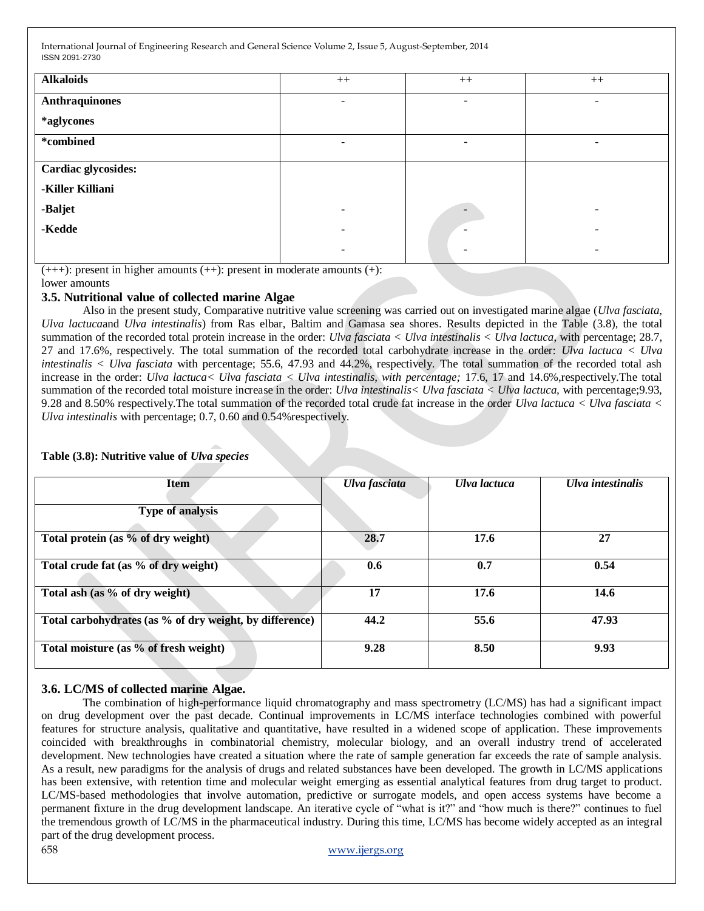| <b>Alkaloids</b>      | $++$                     | $++$                     | $++$                     |
|-----------------------|--------------------------|--------------------------|--------------------------|
| <b>Anthraquinones</b> | $\overline{\phantom{0}}$ | $\overline{\phantom{a}}$ | $\overline{\phantom{0}}$ |
| *aglycones            |                          |                          |                          |
| *combined             | $\overline{\phantom{a}}$ | $\overline{\phantom{a}}$ | Ξ.                       |
| Cardiac glycosides:   |                          |                          |                          |
| -Killer Killiani      |                          |                          |                          |
| -Baljet               |                          | $\overline{\phantom{a}}$ |                          |
| -Kedde                | $\overline{\phantom{0}}$ | $\overline{\phantom{a}}$ | -                        |
|                       |                          | $\,$                     |                          |

 $(+++)$ : present in higher amounts  $(+)$ : present in moderate amounts  $(+)$ :

### lower amounts

# **3.5. Nutritional value of collected marine Algae**

Also in the present study, Comparative nutritive value screening was carried out on investigated marine algae (*Ulva fasciata*, *Ulva lactuca*and *Ulva intestinalis*) from Ras elbar, Baltim and Gamasa sea shores. Results depicted in the Table (3.8), the total summation of the recorded total protein increase in the order: *Ulva fasciata < Ulva intestinalis < Ulva lactuca*, with percentage; 28.7, 27 and 17.6%, respectively. The total summation of the recorded total carbohydrate increase in the order: *Ulva lactuca < Ulva intestinalis < Ulva fasciata* with percentage; 55.6, 47.93 and 44.2%, respectively. The total summation of the recorded total ash increase in the order: *Ulva lactuca< Ulva fasciata < Ulva intestinalis, with percentage;* 17.6, 17 and 14.6%,respectively.The total summation of the recorded total moisture increase in the order: *Ulva intestinalis< Ulva fasciata < Ulva lactuca,* with percentage;9.93, 9.28 and 8.50% respectively.The total summation of the recorded total crude fat increase in the order *Ulva lactuca < Ulva fasciata < Ulva intestinalis* with percentage; 0.7, 0.60 and 0.54%respectively.

| <b>Item</b>                                             | Ulva fasciata | Ulva lactuca | Ulva intestinalis |
|---------------------------------------------------------|---------------|--------------|-------------------|
| Type of analysis                                        |               |              |                   |
| Total protein (as % of dry weight)                      | 28.7          | 17.6         | 27                |
| Total crude fat (as % of dry weight)                    | 0.6           | 0.7          | 0.54              |
| Total ash (as % of dry weight)                          | 17            | 17.6         | 14.6              |
| Total carbohydrates (as % of dry weight, by difference) | 44.2          | 55.6         | 47.93             |
| Total moisture (as % of fresh weight)                   | 9.28          | 8.50         | 9.93              |

# **Table (3.8): Nutritive value of** *Ulva species*

# **3.6. LC/MS of collected marine Algae.**

The combination of high-performance liquid chromatography and mass spectrometry (LC/MS) has had a significant impact on drug development over the past decade. Continual improvements in LC/MS interface technologies combined with powerful features for structure analysis, qualitative and quantitative, have resulted in a widened scope of application. These improvements coincided with breakthroughs in combinatorial chemistry, molecular biology, and an overall industry trend of accelerated development. New technologies have created a situation where the rate of sample generation far exceeds the rate of sample analysis. As a result, new paradigms for the analysis of drugs and related substances have been developed. The growth in LC/MS applications has been extensive, with retention time and molecular weight emerging as essential analytical features from drug target to product. LC/MS-based methodologies that involve automation, predictive or surrogate models, and open access systems have become a permanent fixture in the drug development landscape. An iterative cycle of "what is it?" and "how much is there?" continues to fuel the tremendous growth of LC/MS in the pharmaceutical industry. During this time, LC/MS has become widely accepted as an integral part of the drug development process.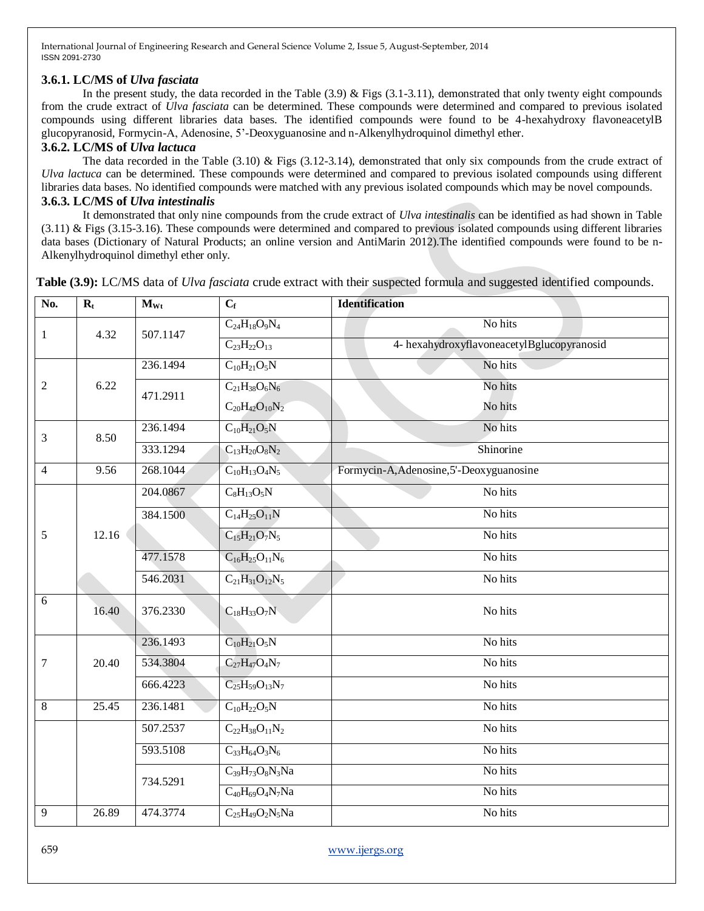### **3.6.1. LC/MS of** *Ulva fasciata*

In the present study, the data recorded in the Table  $(3.9)$  & Figs  $(3.1-3.11)$ , demonstrated that only twenty eight compounds from the crude extract of *Ulva fasciata* can be determined. These compounds were determined and compared to previous isolated compounds using different libraries data bases. The identified compounds were found to be 4-hexahydroxy flavoneacetylB glucopyranosid, Formycin-A, Adenosine, 5'-Deoxyguanosine and n-Alkenylhydroquinol dimethyl ether.

### **3.6.2. LC/MS of** *Ulva lactuca*

The data recorded in the Table  $(3.10)$  & Figs  $(3.12-3.14)$ , demonstrated that only six compounds from the crude extract of *Ulva lactuca* can be determined. These compounds were determined and compared to previous isolated compounds using different libraries data bases. No identified compounds were matched with any previous isolated compounds which may be novel compounds. **3.6.3. LC/MS of** *Ulva intestinalis*

It demonstrated that only nine compounds from the crude extract of *Ulva intestinalis* can be identified as had shown in Table (3.11) & Figs (3.15-3.16). These compounds were determined and compared to previous isolated compounds using different libraries data bases (Dictionary of Natural Products; an online version and AntiMarin 2012).The identified compounds were found to be n-Alkenylhydroquinol dimethyl ether only.

 $N_0$ ,  $R_t$  **M**<sub>Wt</sub> **C**<sub>f</sub> **Identification** 1 4.32 507.1147  $C_{24}H_{18}O_9N_4$  No hits  $C_{23}H_{22}O_{13}$  4- hexahydroxyflavoneacetylBglucopyranosid 2 6.22 236.1494  $C_{10}H_{21}O_5N$  No hits 471.2911  $C_{21}H_{38}O_6N_6$  $C_{20}H_{42}O_{10}N_2$ No hits No hits 3 8.50 236.1494  $C_{10}H_{21}O_5N$  No hits  $333.1294$   $C_{13}H_{20}O_8N_2$  Shinorine  $\frac{4}{9.56}$   $\frac{268.1044}{268.1044}$  C<sub>10</sub>H<sub>13</sub>O<sub>4</sub>N<sub>5</sub> Formycin-A,Adenosine,5'-Deoxyguanosine  $5 \t 12.16$  $204.0867$   $C_8H_{13}O_5N$  No hits  $384.1500 \qquad \qquad \text{C}_{14}\text{H}_{25}\text{O}_{11}\text{N} \qquad \qquad \text{No hits}$  $C_{15}H_{21}O_7N_5$  No hits  $477.1578$  C<sub>16</sub>H<sub>25</sub>O<sub>11</sub>N<sub>6</sub> No hits 546.2031  $C_{21}H_{31}O_{12}N_5$  No hits 6 16.40  $376.2330$   $C_{18}H_{33}O_7N$  No hits 7 20.40 236.1493  $C_{10}H_{21}O_5N$  No hits  $534.3804$   $C_{27}H_{47}O_4N_7$  No hits 666.4223  $C_2 = H_{59}O_{13}N_7$  No hits 8 25.45 236.1481  $C_{10}H_{22}O_5N$  No hits  $507.2537$   $C_{22}H_{38}O_{11}N_2$  No hits 593.5108  $C_{33}H_{64}O_3N_6$  No hits 734.5291  $C_{39}H_{73}O_8N_3Na$  No hits  $C_{40}H_{69}O_4N_7Na$  No hits 9 26.89 474.3774  $C_{25}H_{49}O_2N_5Na$  No hits

**Table (3.9):** LC/MS data of *Ulva fasciata* crude extract with their suspected formula and suggested identified compounds.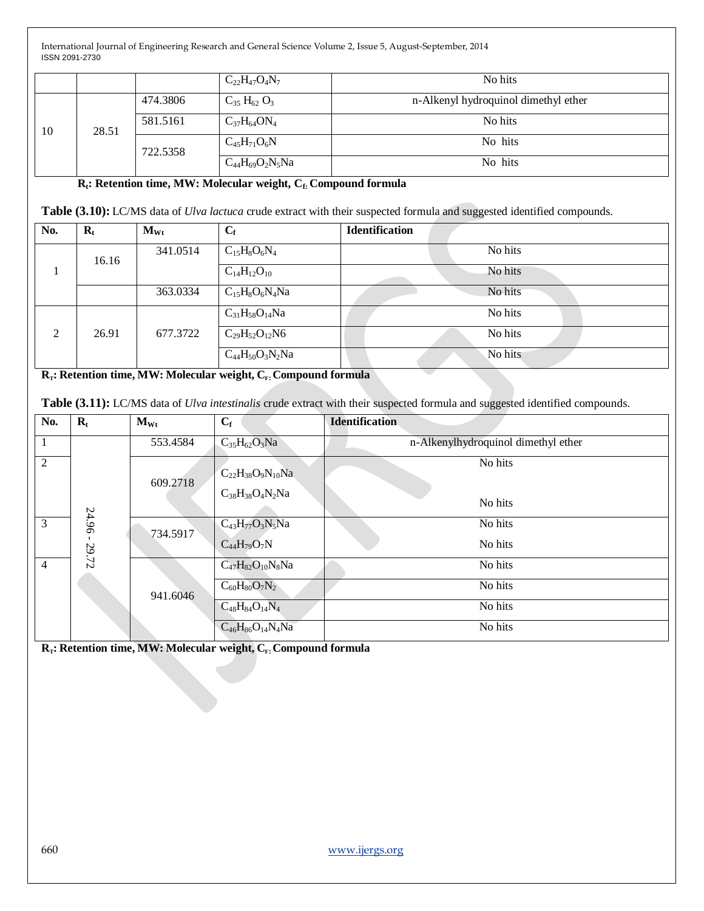|    |                   |          | $C_{22}H_{47}O_4N_7$   | No hits                              |
|----|-------------------|----------|------------------------|--------------------------------------|
|    |                   | 474.3806 | $C_{35} H_{62} O_3$    | n-Alkenyl hydroquinol dimethyl ether |
| 10 | 581.5161<br>28.51 |          | $C_{37}H_{64}ON_4$     | No hits                              |
|    |                   | 722.5358 | $C_{45}H_{71}O_6N$     | No hits                              |
|    |                   |          | $C_{44}H_{69}O_2N_5Na$ | No hits                              |

 **Rt: Retention time, MW: Molecular weight, Cf: Compound formula**

**Table (3.10):** LC/MS data of *Ulva lactuca* crude extract with their suspected formula and suggested identified compounds.

| No.            | $\mathbf{R}_{t}$ | $M_{Wt}$ | $C_f$                  | <b>Identification</b> |
|----------------|------------------|----------|------------------------|-----------------------|
|                | 16.16            | 341.0514 | $C_{15}H_8O_6N_4$      | No hits               |
| л              |                  |          | $C_{14}H_{12}O_{10}$   | No hits               |
|                |                  | 363.0334 | $C_{15}H_8O_6N_4Na$    | No hits               |
|                |                  |          | $C_{31}H_{58}O_{14}Na$ | No hits               |
| $\overline{2}$ | 26.91            | 677.3722 | $C_{29}H_{52}O_{12}N6$ | No hits               |
|                |                  |          | $C_{44}H_{50}O_3N_2Na$ | No hits               |

**RT: Retention time, MW: Molecular weight, CF:Compound formula**

**Table (3.11):** LC/MS data of *Ulva intestinalis* crude extract with their suspected formula and suggested identified compounds.

| No.            | $\mathbf{R}_{\mathrm{t}}$ | $M_{Wt}$ | $C_f$                                               | <b>Identification</b>               |
|----------------|---------------------------|----------|-----------------------------------------------------|-------------------------------------|
|                | 24.96<br>29.72            | 553.4584 | $C_{35}H_{62}O_3Na$                                 | n-Alkenylhydroquinol dimethyl ether |
| $\overline{2}$ |                           | 609.2718 | $C_{22}H_{38}O_9N_{10}Na$<br>$C_{38}H_{38}O_4N_2Na$ | No hits                             |
|                |                           |          |                                                     | No hits                             |
| 3              |                           | 734.5917 | $C_{43}H_{77}O_3N_5Na$                              | No hits                             |
|                |                           |          | $C_{44}H_{79}O_7N$                                  | No hits                             |
| $\overline{4}$ |                           | 941.6046 | $C_{47}H_{82}O_{10}N_8Na$                           | No hits                             |
|                |                           |          | $C_{60}H_{80}O_7N_2$                                | No hits                             |
|                |                           |          | $C_{48}H_{84}O_{14}N_4$                             | No hits                             |
|                |                           |          | $C_{46}H_{86}O_{14}N_4Na$                           | No hits                             |

**RT: Retention time, MW: Molecular weight, CF:Compound formula**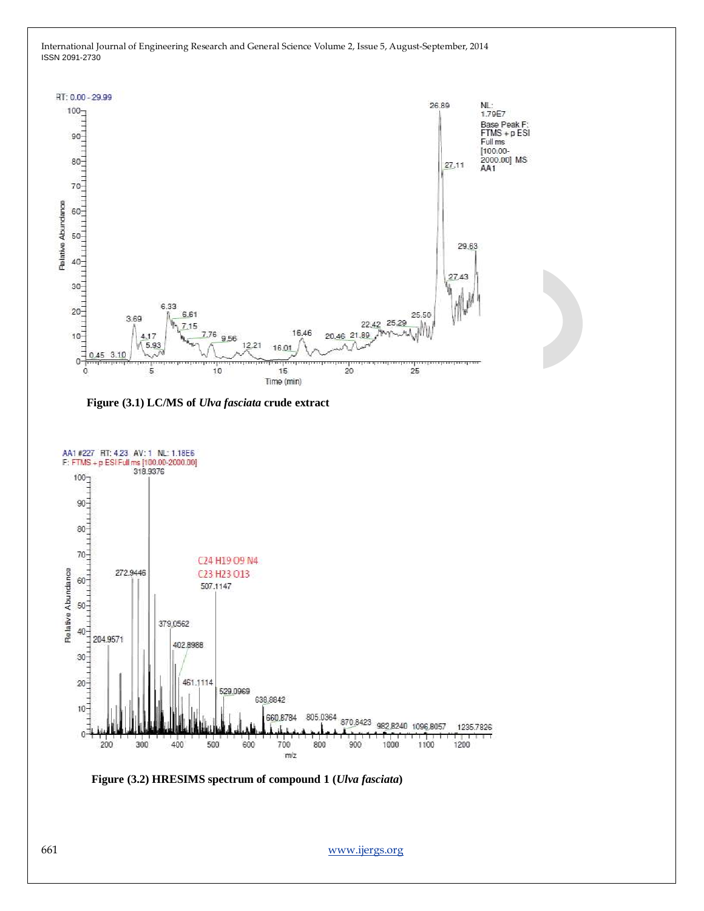

**Figure (3.1) LC/MS of** *Ulva fasciata* **crude extract**



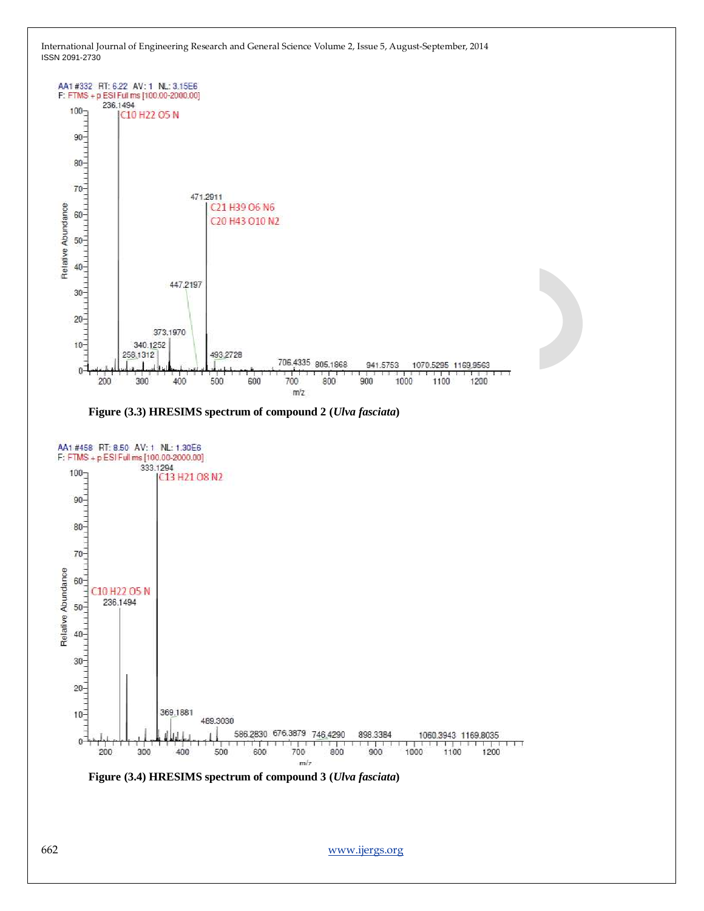





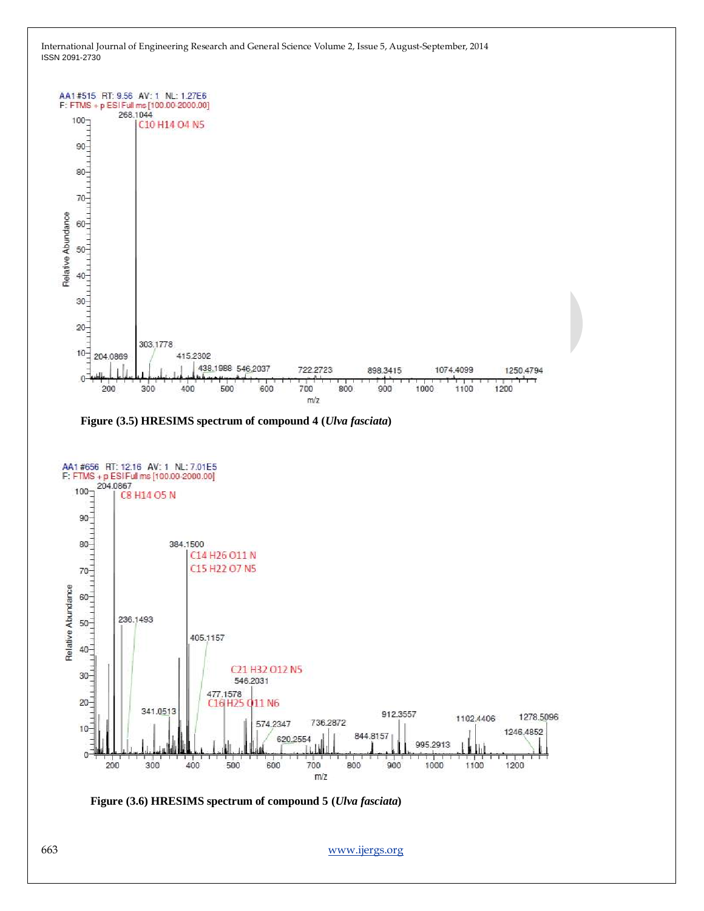

**Figure (3.5) HRESIMS spectrum of compound 4 (***Ulva fasciata***)**



**Figure (3.6) HRESIMS spectrum of compound 5 (***Ulva fasciata***)**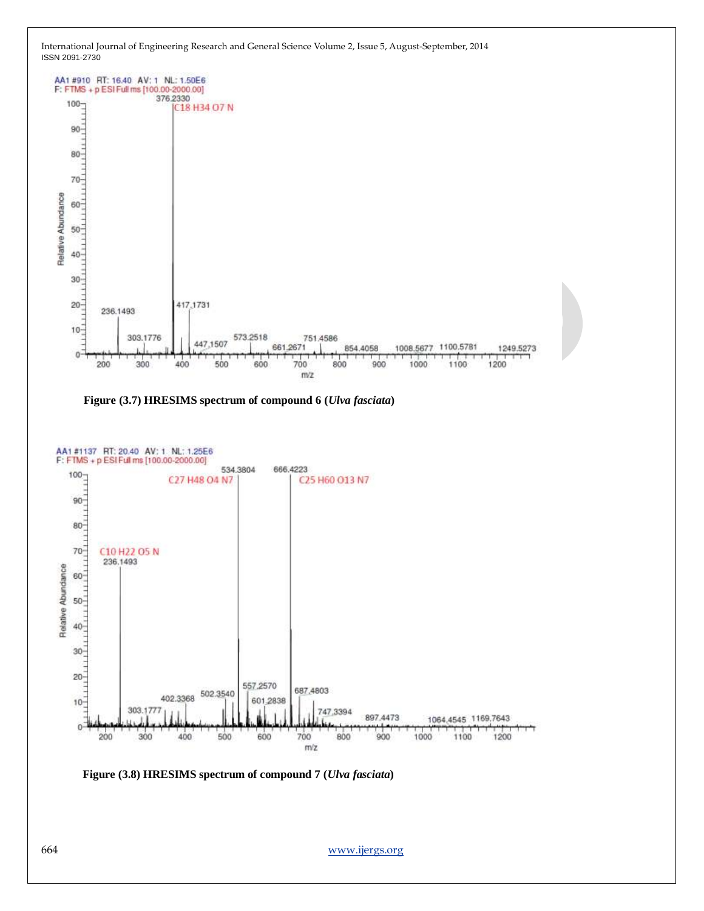





**Figure (3.8) HRESIMS spectrum of compound 7 (***Ulva fasciata***)**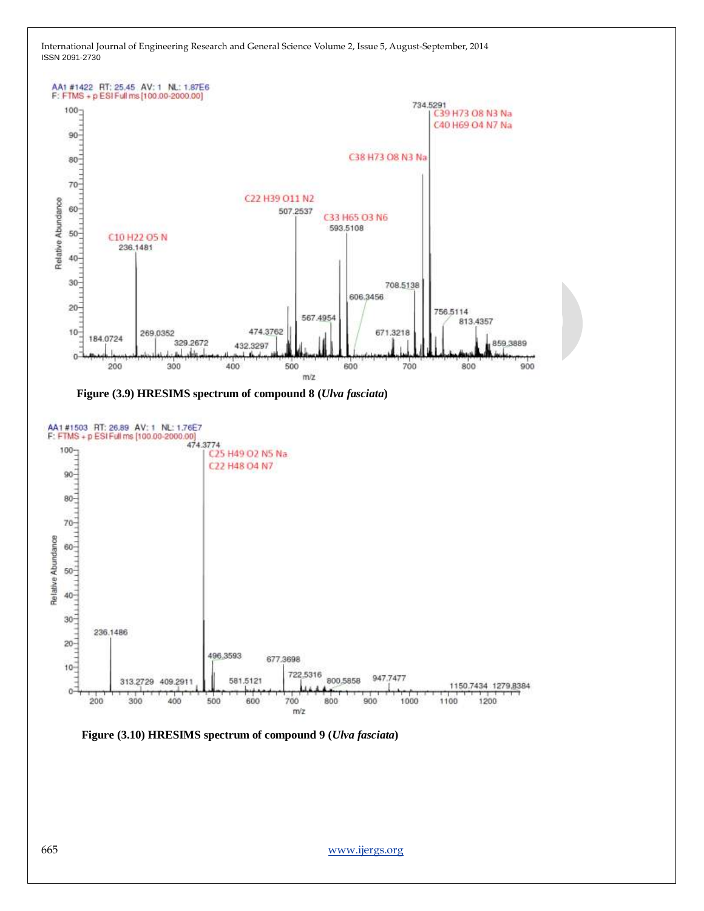





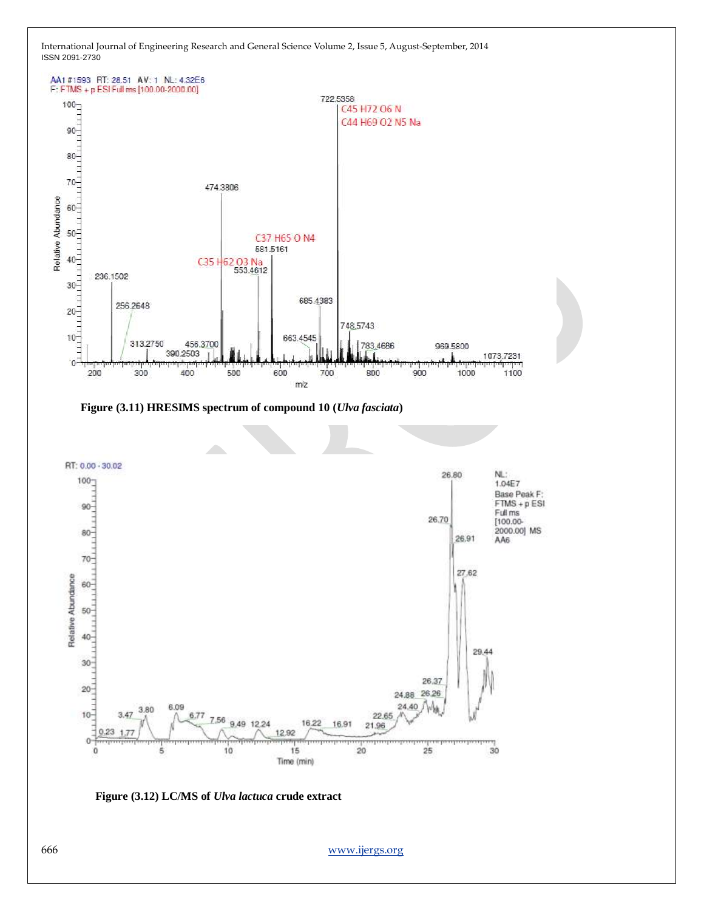

**Figure (3.11) HRESIMS spectrum of compound 10 (***Ulva fasciata***)**



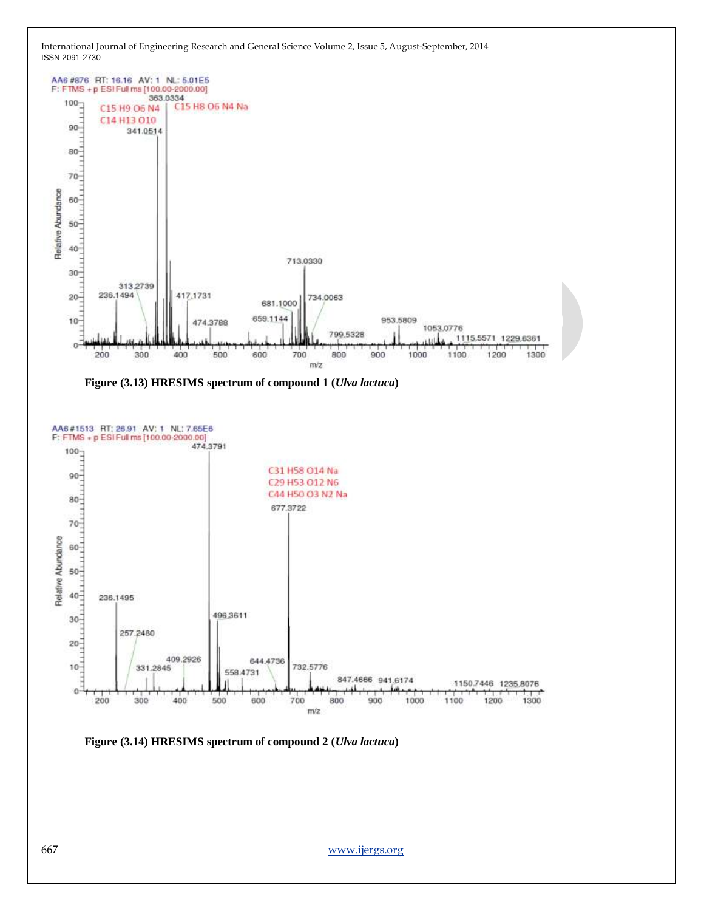

**Figure (3.14) HRESIMS spectrum of compound 2 (***Ulva lactuca***)**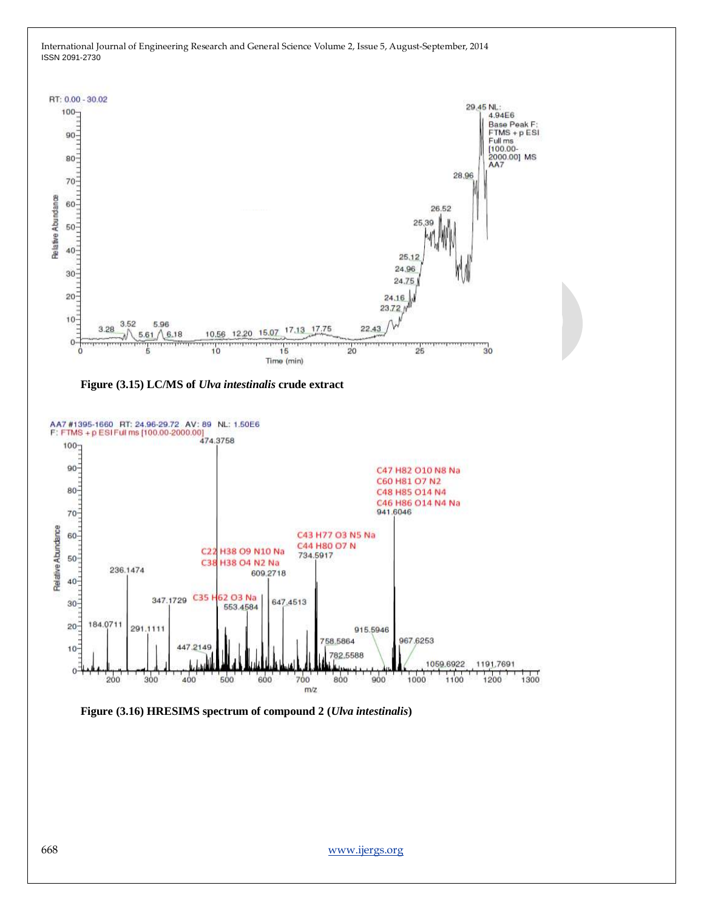





**Figure (3.16) HRESIMS spectrum of compound 2 (***Ulva intestinalis***)**